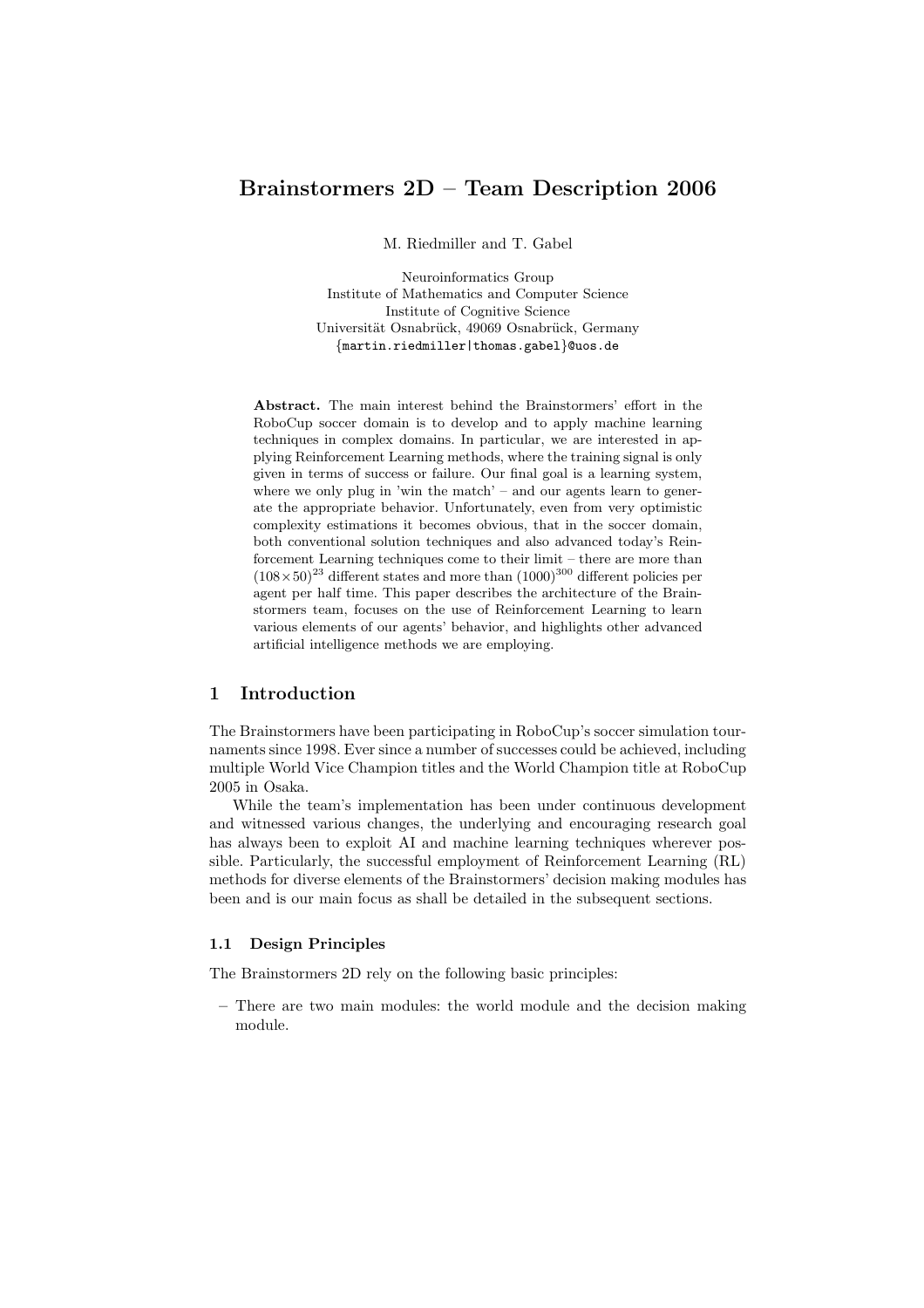# Brainstormers 2D – Team Description 2006

M. Riedmiller and T. Gabel

Neuroinformatics Group Institute of Mathematics and Computer Science Institute of Cognitive Science Universität Osnabrück, 49069 Osnabrück, Germany {martin.riedmiller|thomas.gabel}@uos.de

Abstract. The main interest behind the Brainstormers' effort in the RoboCup soccer domain is to develop and to apply machine learning techniques in complex domains. In particular, we are interested in applying Reinforcement Learning methods, where the training signal is only given in terms of success or failure. Our final goal is a learning system, where we only plug in 'win the match' – and our agents learn to generate the appropriate behavior. Unfortunately, even from very optimistic complexity estimations it becomes obvious, that in the soccer domain, both conventional solution techniques and also advanced today's Reinforcement Learning techniques come to their limit – there are more than  $(108\times50)^{23}$  different states and more than  $(1000)^{300}$  different policies per agent per half time. This paper describes the architecture of the Brainstormers team, focuses on the use of Reinforcement Learning to learn various elements of our agents' behavior, and highlights other advanced artificial intelligence methods we are employing.

# 1 Introduction

The Brainstormers have been participating in RoboCup's soccer simulation tournaments since 1998. Ever since a number of successes could be achieved, including multiple World Vice Champion titles and the World Champion title at RoboCup 2005 in Osaka.

While the team's implementation has been under continuous development and witnessed various changes, the underlying and encouraging research goal has always been to exploit AI and machine learning techniques wherever possible. Particularly, the successful employment of Reinforcement Learning (RL) methods for diverse elements of the Brainstormers' decision making modules has been and is our main focus as shall be detailed in the subsequent sections.

### 1.1 Design Principles

The Brainstormers 2D rely on the following basic principles:

– There are two main modules: the world module and the decision making module.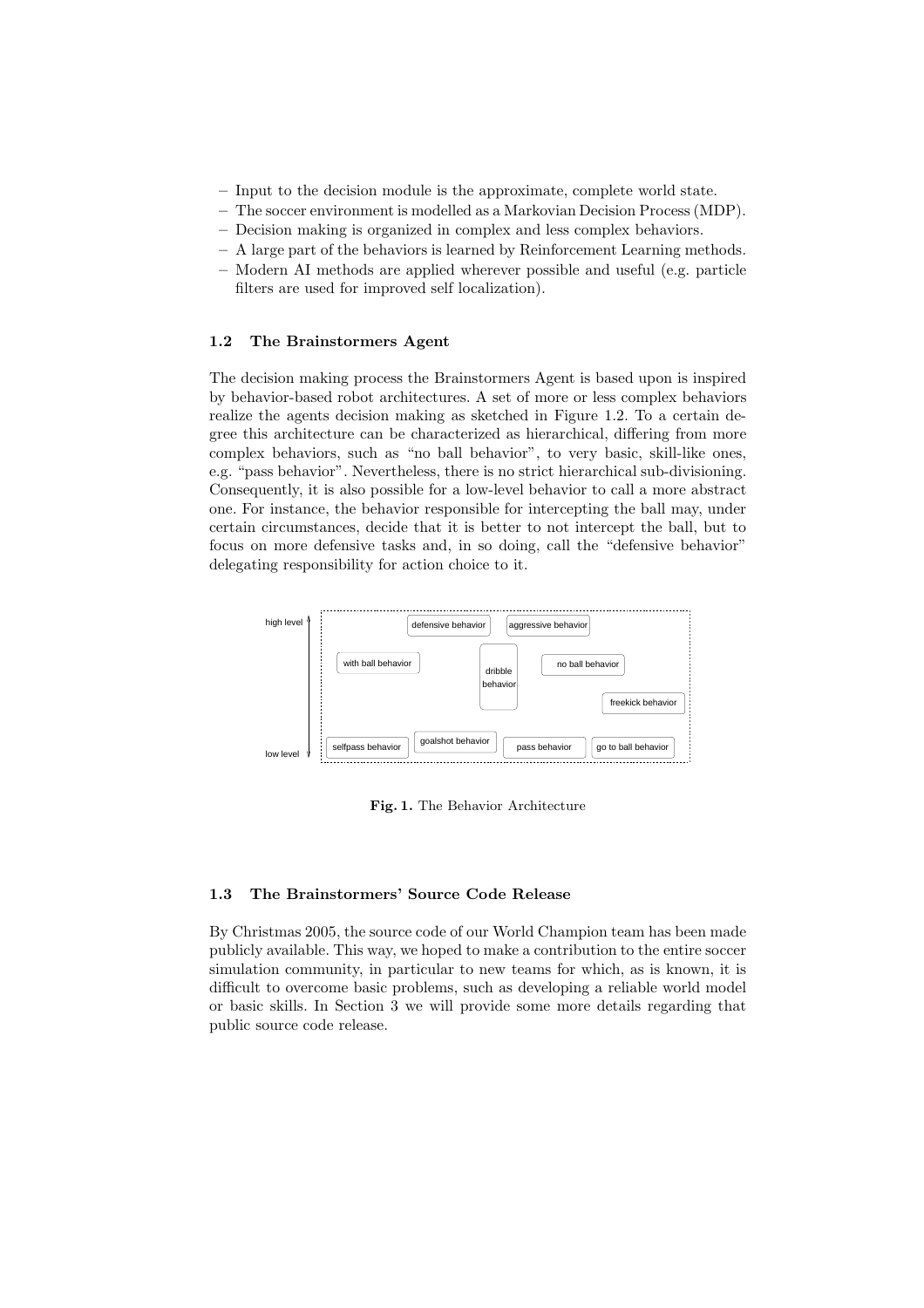- Input to the decision module is the approximate, complete world state.
- The soccer environment is modelled as a Markovian Decision Process (MDP).
- Decision making is organized in complex and less complex behaviors.
- A large part of the behaviors is learned by Reinforcement Learning methods.
- Modern AI methods are applied wherever possible and useful (e.g. particle filters are used for improved self localization).

### 1.2 The Brainstormers Agent

The decision making process the Brainstormers Agent is based upon is inspired by behavior-based robot architectures. A set of more or less complex behaviors realize the agents decision making as sketched in Figure 1.2. To a certain degree this architecture can be characterized as hierarchical, differing from more complex behaviors, such as "no ball behavior", to very basic, skill-like ones, e.g. "pass behavior". Nevertheless, there is no strict hierarchical sub-divisioning. Consequently, it is also possible for a low-level behavior to call a more abstract one. For instance, the behavior responsible for intercepting the ball may, under certain circumstances, decide that it is better to not intercept the ball, but to focus on more defensive tasks and, in so doing, call the "defensive behavior" delegating responsibility for action choice to it.



Fig. 1. The Behavior Architecture

## 1.3 The Brainstormers' Source Code Release

By Christmas 2005, the source code of our World Champion team has been made publicly available. This way, we hoped to make a contribution to the entire soccer simulation community, in particular to new teams for which, as is known, it is difficult to overcome basic problems, such as developing a reliable world model or basic skills. In Section 3 we will provide some more details regarding that public source code release.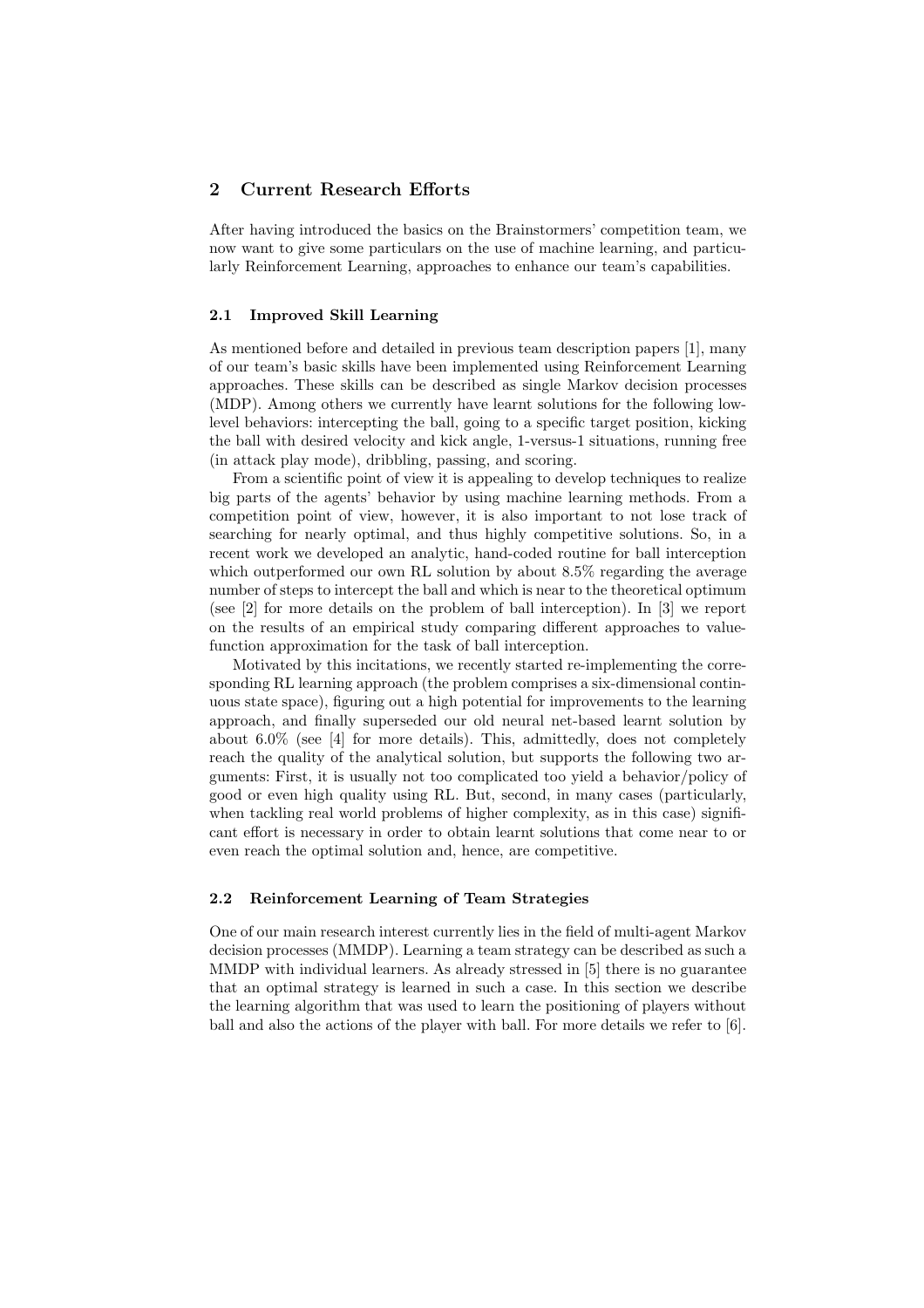## 2 Current Research Efforts

After having introduced the basics on the Brainstormers' competition team, we now want to give some particulars on the use of machine learning, and particularly Reinforcement Learning, approaches to enhance our team's capabilities.

## 2.1 Improved Skill Learning

As mentioned before and detailed in previous team description papers [1], many of our team's basic skills have been implemented using Reinforcement Learning approaches. These skills can be described as single Markov decision processes (MDP). Among others we currently have learnt solutions for the following lowlevel behaviors: intercepting the ball, going to a specific target position, kicking the ball with desired velocity and kick angle, 1-versus-1 situations, running free (in attack play mode), dribbling, passing, and scoring.

From a scientific point of view it is appealing to develop techniques to realize big parts of the agents' behavior by using machine learning methods. From a competition point of view, however, it is also important to not lose track of searching for nearly optimal, and thus highly competitive solutions. So, in a recent work we developed an analytic, hand-coded routine for ball interception which outperformed our own RL solution by about 8.5% regarding the average number of steps to intercept the ball and which is near to the theoretical optimum (see [2] for more details on the problem of ball interception). In [3] we report on the results of an empirical study comparing different approaches to valuefunction approximation for the task of ball interception.

Motivated by this incitations, we recently started re-implementing the corresponding RL learning approach (the problem comprises a six-dimensional continuous state space), figuring out a high potential for improvements to the learning approach, and finally superseded our old neural net-based learnt solution by about 6.0% (see [4] for more details). This, admittedly, does not completely reach the quality of the analytical solution, but supports the following two arguments: First, it is usually not too complicated too yield a behavior/policy of good or even high quality using RL. But, second, in many cases (particularly, when tackling real world problems of higher complexity, as in this case) significant effort is necessary in order to obtain learnt solutions that come near to or even reach the optimal solution and, hence, are competitive.

## 2.2 Reinforcement Learning of Team Strategies

One of our main research interest currently lies in the field of multi-agent Markov decision processes (MMDP). Learning a team strategy can be described as such a MMDP with individual learners. As already stressed in [5] there is no guarantee that an optimal strategy is learned in such a case. In this section we describe the learning algorithm that was used to learn the positioning of players without ball and also the actions of the player with ball. For more details we refer to [6].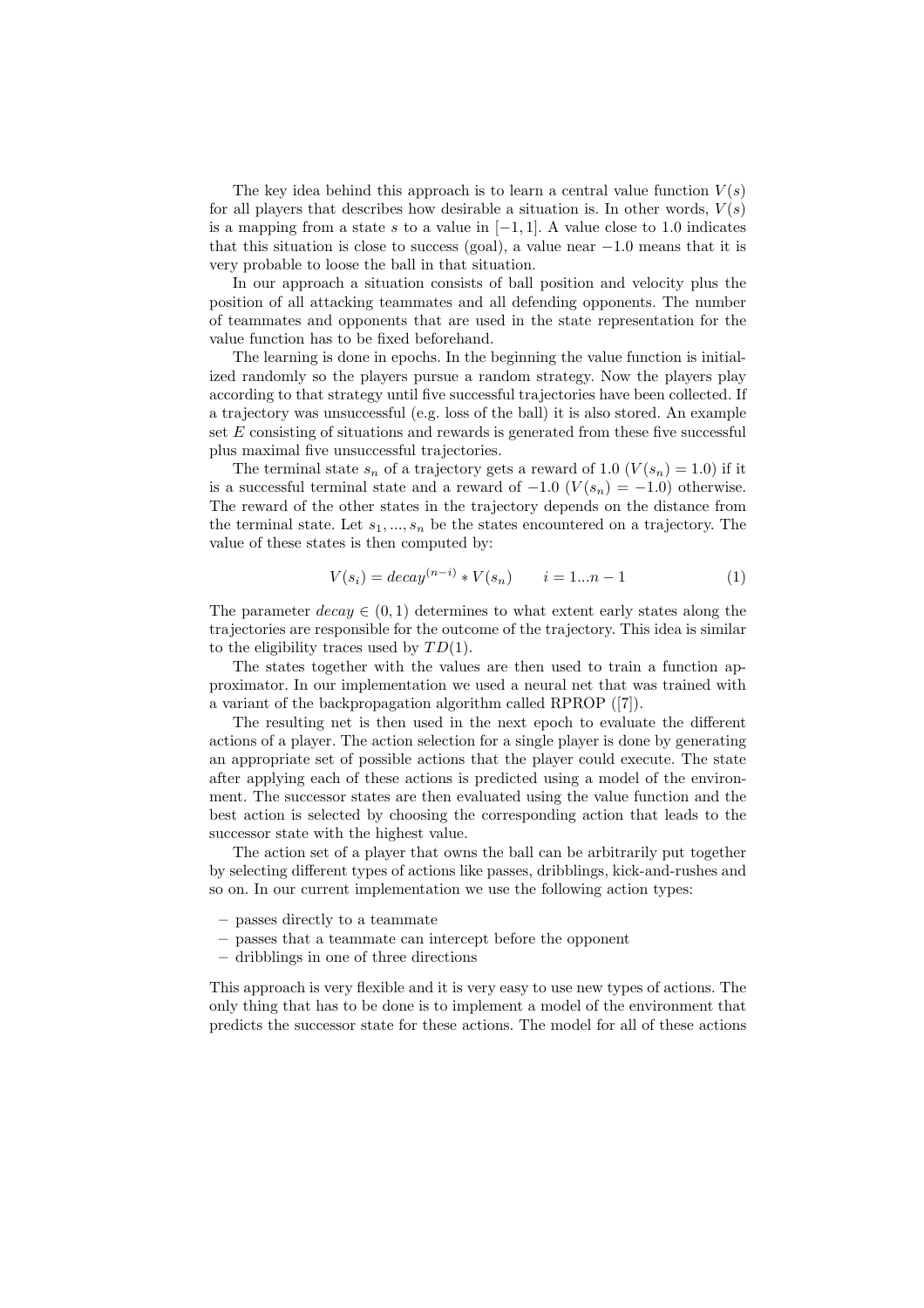The key idea behind this approach is to learn a central value function  $V(s)$ for all players that describes how desirable a situation is. In other words,  $V(s)$ is a mapping from a state s to a value in  $[-1, 1]$ . A value close to 1.0 indicates that this situation is close to success (goal), a value near  $-1.0$  means that it is very probable to loose the ball in that situation.

In our approach a situation consists of ball position and velocity plus the position of all attacking teammates and all defending opponents. The number of teammates and opponents that are used in the state representation for the value function has to be fixed beforehand.

The learning is done in epochs. In the beginning the value function is initialized randomly so the players pursue a random strategy. Now the players play according to that strategy until five successful trajectories have been collected. If a trajectory was unsuccessful (e.g. loss of the ball) it is also stored. An example set  $E$  consisting of situations and rewards is generated from these five successful plus maximal five unsuccessful trajectories.

The terminal state  $s_n$  of a trajectory gets a reward of 1.0  $(V(s_n) = 1.0)$  if it is a successful terminal state and a reward of  $-1.0$   $(V(s_n) = -1.0)$  otherwise. The reward of the other states in the trajectory depends on the distance from the terminal state. Let  $s_1, ..., s_n$  be the states encountered on a trajectory. The value of these states is then computed by:

$$
V(s_i) = decay^{(n-i)} * V(s_n) \qquad i = 1...n - 1 \tag{1}
$$

The parameter  $decay \in (0, 1)$  determines to what extent early states along the trajectories are responsible for the outcome of the trajectory. This idea is similar to the eligibility traces used by  $TD(1)$ .

The states together with the values are then used to train a function approximator. In our implementation we used a neural net that was trained with a variant of the backpropagation algorithm called RPROP ([7]).

The resulting net is then used in the next epoch to evaluate the different actions of a player. The action selection for a single player is done by generating an appropriate set of possible actions that the player could execute. The state after applying each of these actions is predicted using a model of the environment. The successor states are then evaluated using the value function and the best action is selected by choosing the corresponding action that leads to the successor state with the highest value.

The action set of a player that owns the ball can be arbitrarily put together by selecting different types of actions like passes, dribblings, kick-and-rushes and so on. In our current implementation we use the following action types:

- passes directly to a teammate
- passes that a teammate can intercept before the opponent
- dribblings in one of three directions

This approach is very flexible and it is very easy to use new types of actions. The only thing that has to be done is to implement a model of the environment that predicts the successor state for these actions. The model for all of these actions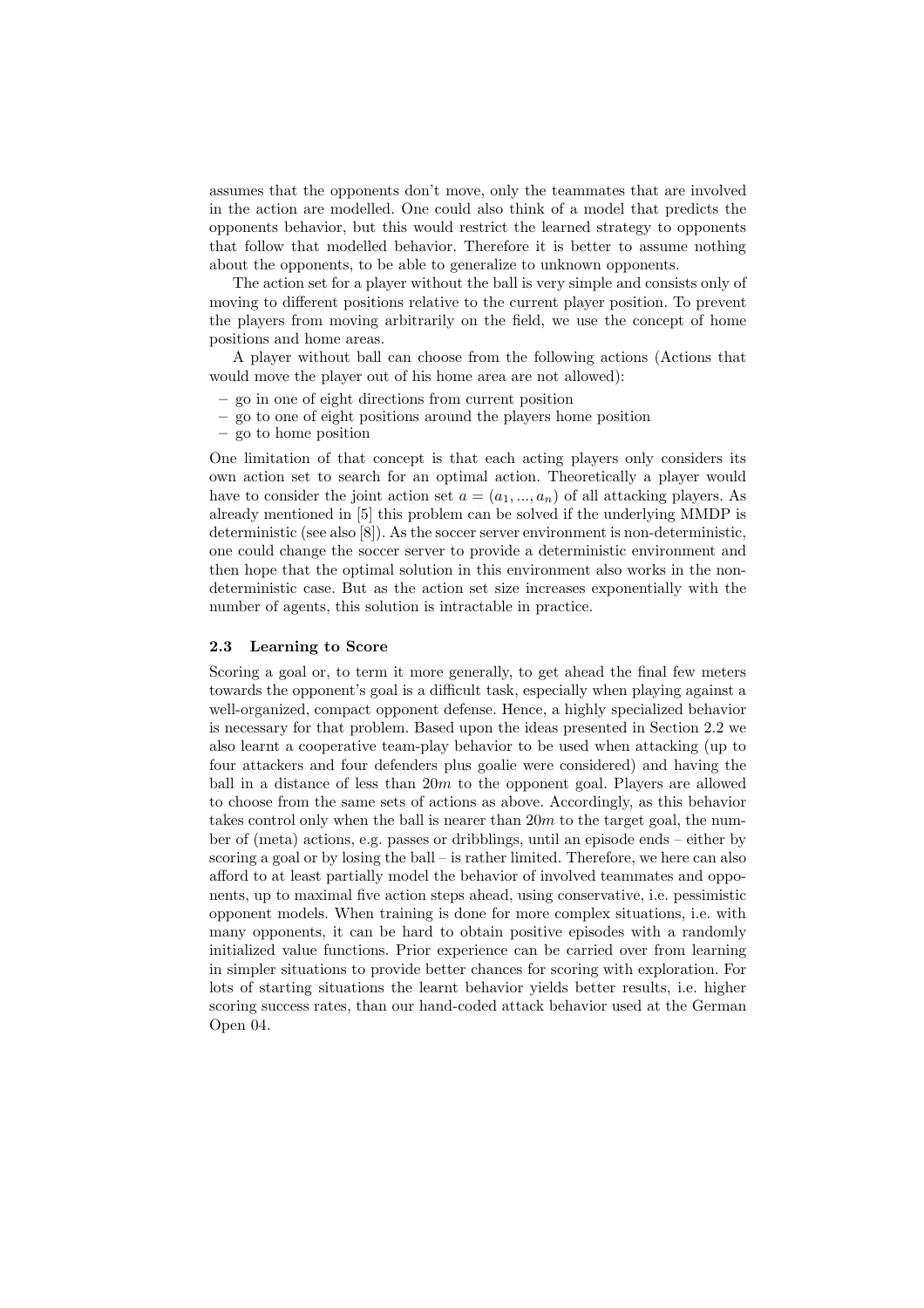assumes that the opponents don't move, only the teammates that are involved in the action are modelled. One could also think of a model that predicts the opponents behavior, but this would restrict the learned strategy to opponents that follow that modelled behavior. Therefore it is better to assume nothing about the opponents, to be able to generalize to unknown opponents.

The action set for a player without the ball is very simple and consists only of moving to different positions relative to the current player position. To prevent the players from moving arbitrarily on the field, we use the concept of home positions and home areas.

A player without ball can choose from the following actions (Actions that would move the player out of his home area are not allowed):

- go in one of eight directions from current position
- go to one of eight positions around the players home position
- go to home position

One limitation of that concept is that each acting players only considers its own action set to search for an optimal action. Theoretically a player would have to consider the joint action set  $a = (a_1, ..., a_n)$  of all attacking players. As already mentioned in [5] this problem can be solved if the underlying MMDP is deterministic (see also [8]). As the soccer server environment is non-deterministic, one could change the soccer server to provide a deterministic environment and then hope that the optimal solution in this environment also works in the nondeterministic case. But as the action set size increases exponentially with the number of agents, this solution is intractable in practice.

#### 2.3 Learning to Score

Scoring a goal or, to term it more generally, to get ahead the final few meters towards the opponent's goal is a difficult task, especially when playing against a well-organized, compact opponent defense. Hence, a highly specialized behavior is necessary for that problem. Based upon the ideas presented in Section 2.2 we also learnt a cooperative team-play behavior to be used when attacking (up to four attackers and four defenders plus goalie were considered) and having the ball in a distance of less than  $20m$  to the opponent goal. Players are allowed to choose from the same sets of actions as above. Accordingly, as this behavior takes control only when the ball is nearer than  $20m$  to the target goal, the number of (meta) actions, e.g. passes or dribblings, until an episode ends – either by scoring a goal or by losing the ball – is rather limited. Therefore, we here can also afford to at least partially model the behavior of involved teammates and opponents, up to maximal five action steps ahead, using conservative, i.e. pessimistic opponent models. When training is done for more complex situations, i.e. with many opponents, it can be hard to obtain positive episodes with a randomly initialized value functions. Prior experience can be carried over from learning in simpler situations to provide better chances for scoring with exploration. For lots of starting situations the learnt behavior yields better results, i.e. higher scoring success rates, than our hand-coded attack behavior used at the German Open 04.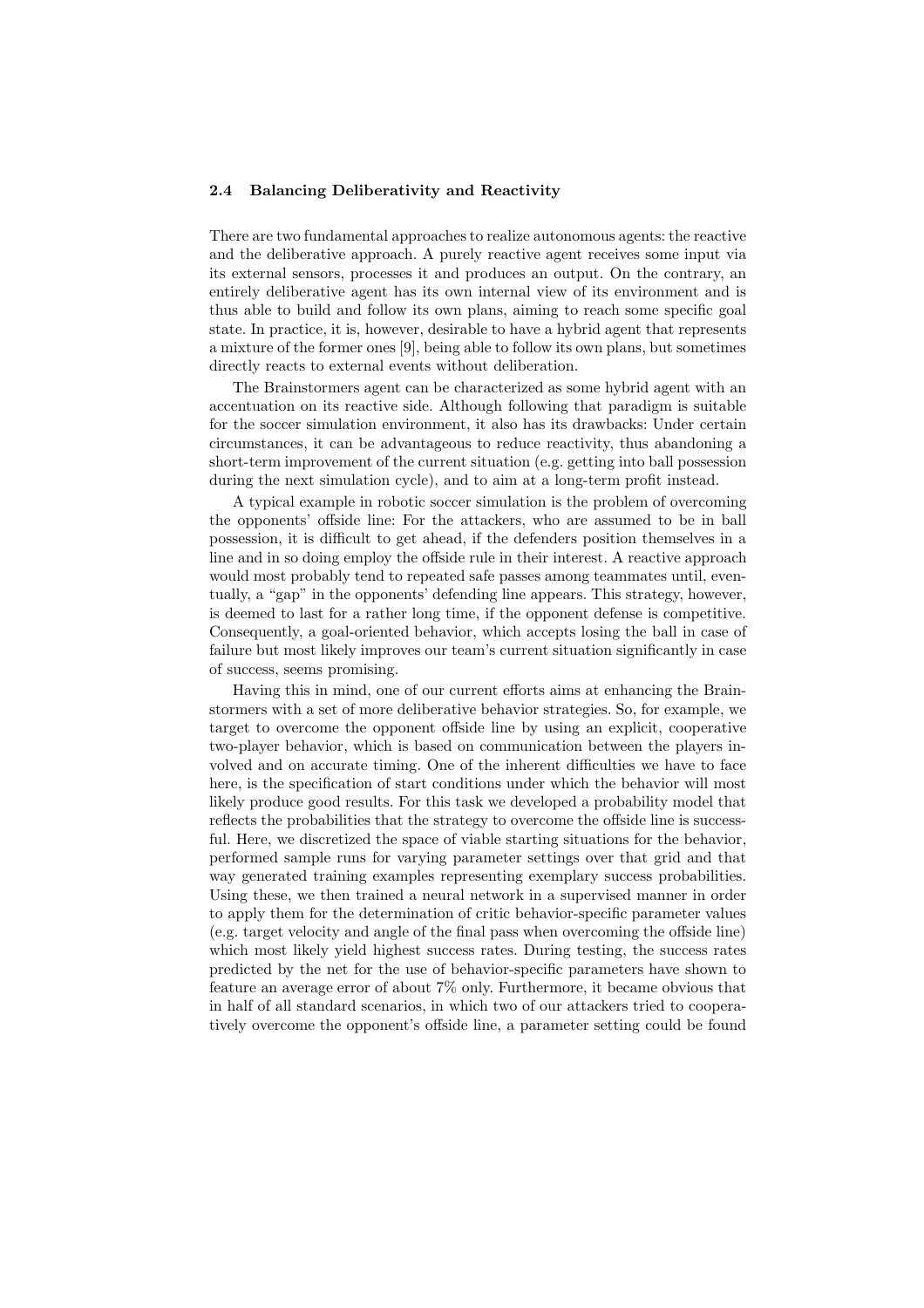#### 2.4 Balancing Deliberativity and Reactivity

There are two fundamental approaches to realize autonomous agents: the reactive and the deliberative approach. A purely reactive agent receives some input via its external sensors, processes it and produces an output. On the contrary, an entirely deliberative agent has its own internal view of its environment and is thus able to build and follow its own plans, aiming to reach some specific goal state. In practice, it is, however, desirable to have a hybrid agent that represents a mixture of the former ones [9], being able to follow its own plans, but sometimes directly reacts to external events without deliberation.

The Brainstormers agent can be characterized as some hybrid agent with an accentuation on its reactive side. Although following that paradigm is suitable for the soccer simulation environment, it also has its drawbacks: Under certain circumstances, it can be advantageous to reduce reactivity, thus abandoning a short-term improvement of the current situation (e.g. getting into ball possession during the next simulation cycle), and to aim at a long-term profit instead.

A typical example in robotic soccer simulation is the problem of overcoming the opponents' offside line: For the attackers, who are assumed to be in ball possession, it is difficult to get ahead, if the defenders position themselves in a line and in so doing employ the offside rule in their interest. A reactive approach would most probably tend to repeated safe passes among teammates until, eventually, a "gap" in the opponents' defending line appears. This strategy, however, is deemed to last for a rather long time, if the opponent defense is competitive. Consequently, a goal-oriented behavior, which accepts losing the ball in case of failure but most likely improves our team's current situation significantly in case of success, seems promising.

Having this in mind, one of our current efforts aims at enhancing the Brainstormers with a set of more deliberative behavior strategies. So, for example, we target to overcome the opponent offside line by using an explicit, cooperative two-player behavior, which is based on communication between the players involved and on accurate timing. One of the inherent difficulties we have to face here, is the specification of start conditions under which the behavior will most likely produce good results. For this task we developed a probability model that reflects the probabilities that the strategy to overcome the offside line is successful. Here, we discretized the space of viable starting situations for the behavior, performed sample runs for varying parameter settings over that grid and that way generated training examples representing exemplary success probabilities. Using these, we then trained a neural network in a supervised manner in order to apply them for the determination of critic behavior-specific parameter values (e.g. target velocity and angle of the final pass when overcoming the offside line) which most likely yield highest success rates. During testing, the success rates predicted by the net for the use of behavior-specific parameters have shown to feature an average error of about 7% only. Furthermore, it became obvious that in half of all standard scenarios, in which two of our attackers tried to cooperatively overcome the opponent's offside line, a parameter setting could be found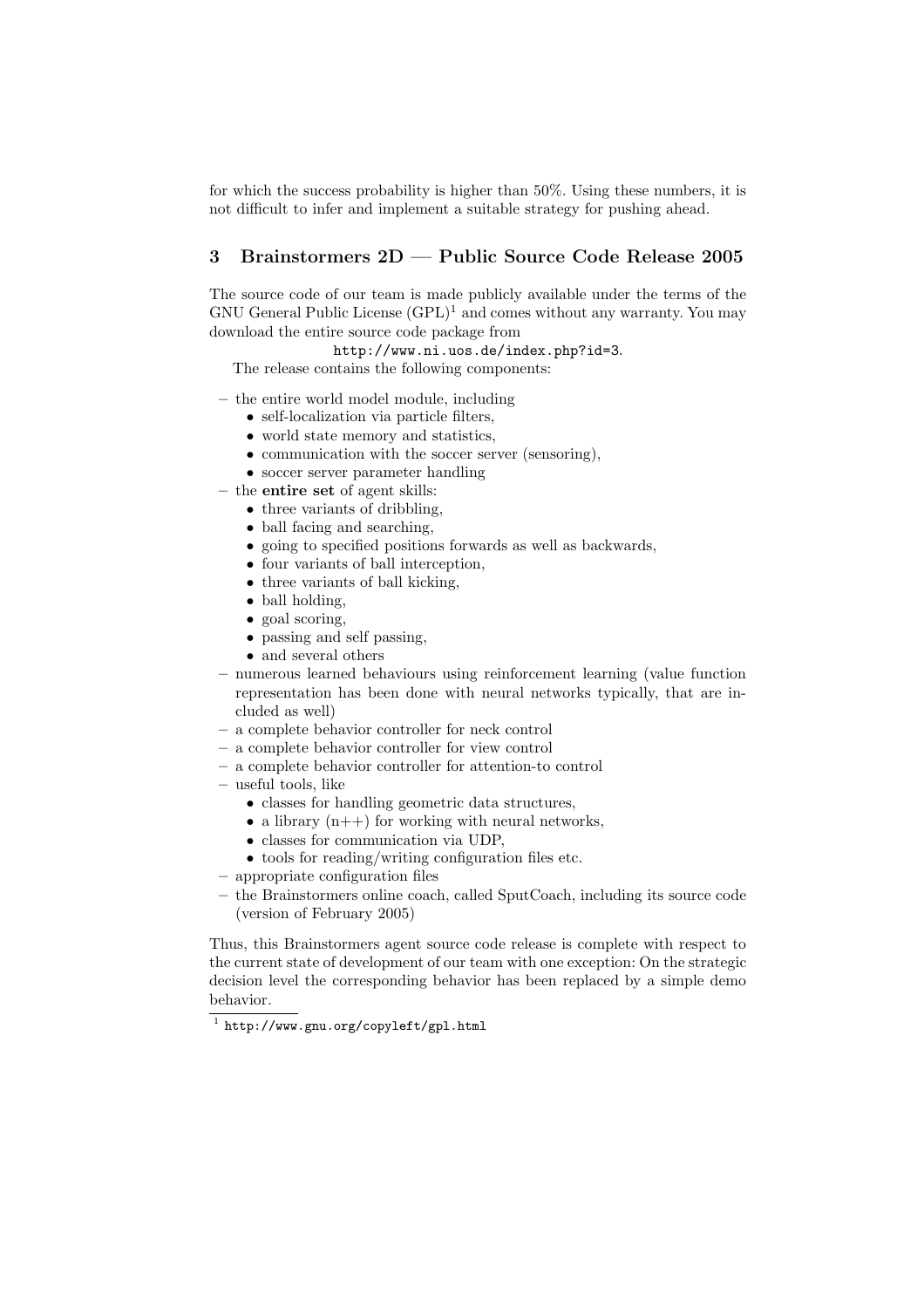for which the success probability is higher than 50%. Using these numbers, it is not difficult to infer and implement a suitable strategy for pushing ahead.

# 3 Brainstormers 2D — Public Source Code Release 2005

The source code of our team is made publicly available under the terms of the GNU General Public License  $(GPL)^1$  and comes without any warranty. You may download the entire source code package from

http://www.ni.uos.de/index.php?id=3.

The release contains the following components:

- the entire world model module, including
	- self-localization via particle filters,
	- world state memory and statistics,
	- communication with the soccer server (sensoring),
	- soccer server parameter handling
- the entire set of agent skills:
	- three variants of dribbling,
	- ball facing and searching,
	- going to specified positions forwards as well as backwards,
	- four variants of ball interception,
	- three variants of ball kicking,
	- ball holding,
	- goal scoring,
	- passing and self passing,
	- and several others
- numerous learned behaviours using reinforcement learning (value function representation has been done with neural networks typically, that are included as well)
- a complete behavior controller for neck control
- a complete behavior controller for view control
- a complete behavior controller for attention-to control
- useful tools, like
	- classes for handling geometric data structures,
	- a library  $(n++)$  for working with neural networks,
	- classes for communication via UDP,
	- tools for reading/writing configuration files etc.
- appropriate configuration files
- the Brainstormers online coach, called SputCoach, including its source code (version of February 2005)

Thus, this Brainstormers agent source code release is complete with respect to the current state of development of our team with one exception: On the strategic decision level the corresponding behavior has been replaced by a simple demo behavior.

<sup>1</sup> http://www.gnu.org/copyleft/gpl.html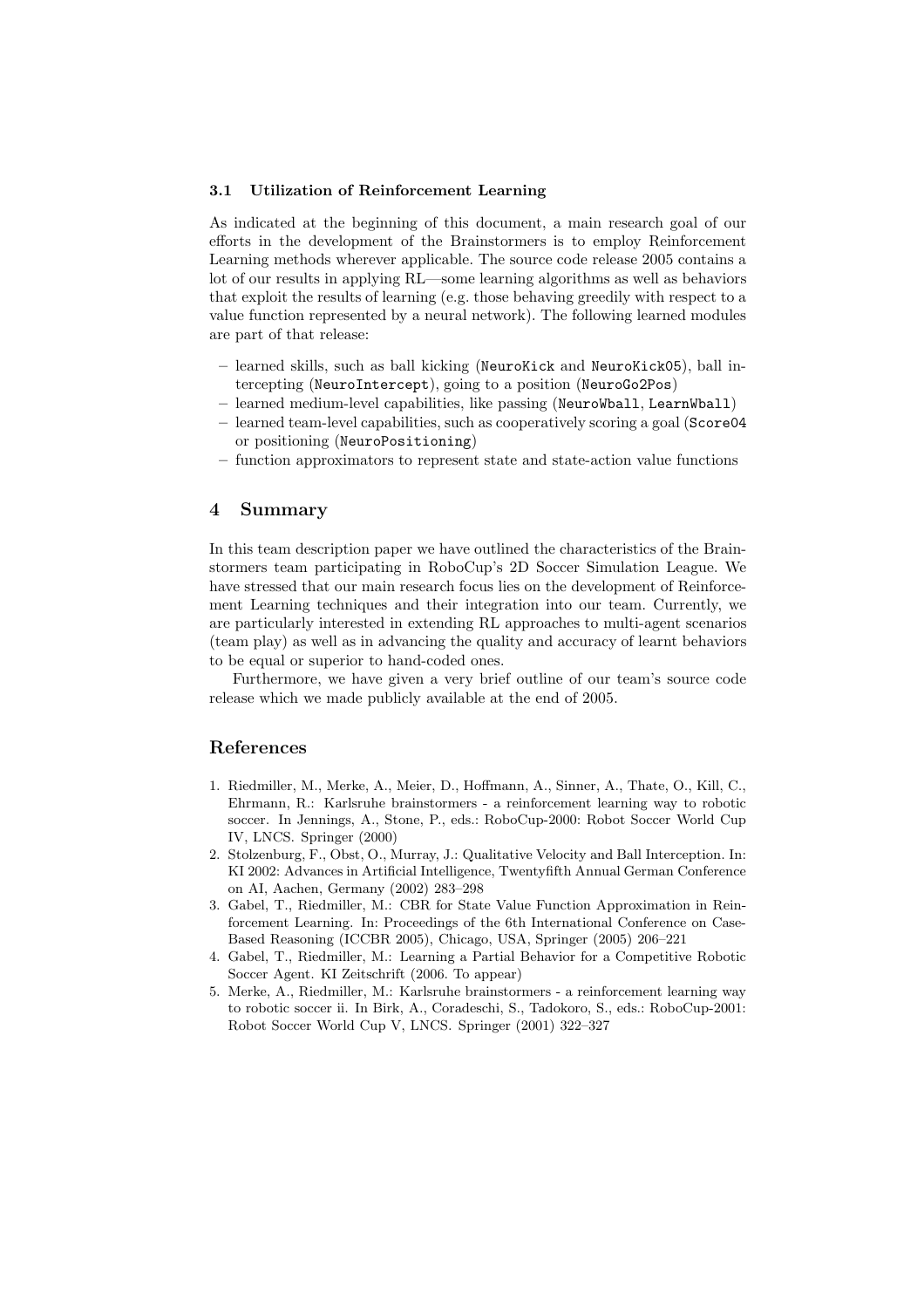#### 3.1 Utilization of Reinforcement Learning

As indicated at the beginning of this document, a main research goal of our efforts in the development of the Brainstormers is to employ Reinforcement Learning methods wherever applicable. The source code release 2005 contains a lot of our results in applying RL—some learning algorithms as well as behaviors that exploit the results of learning (e.g. those behaving greedily with respect to a value function represented by a neural network). The following learned modules are part of that release:

- learned skills, such as ball kicking (NeuroKick and NeuroKick05), ball intercepting (NeuroIntercept), going to a position (NeuroGo2Pos)
- learned medium-level capabilities, like passing (NeuroWball, LearnWball)
- learned team-level capabilities, such as cooperatively scoring a goal (Score04 or positioning (NeuroPositioning)
- function approximators to represent state and state-action value functions

# 4 Summary

In this team description paper we have outlined the characteristics of the Brainstormers team participating in RoboCup's 2D Soccer Simulation League. We have stressed that our main research focus lies on the development of Reinforcement Learning techniques and their integration into our team. Currently, we are particularly interested in extending RL approaches to multi-agent scenarios (team play) as well as in advancing the quality and accuracy of learnt behaviors to be equal or superior to hand-coded ones.

Furthermore, we have given a very brief outline of our team's source code release which we made publicly available at the end of 2005.

# References

- 1. Riedmiller, M., Merke, A., Meier, D., Hoffmann, A., Sinner, A., Thate, O., Kill, C., Ehrmann, R.: Karlsruhe brainstormers - a reinforcement learning way to robotic soccer. In Jennings, A., Stone, P., eds.: RoboCup-2000: Robot Soccer World Cup IV, LNCS. Springer (2000)
- 2. Stolzenburg, F., Obst, O., Murray, J.: Qualitative Velocity and Ball Interception. In: KI 2002: Advances in Artificial Intelligence, Twentyfifth Annual German Conference on AI, Aachen, Germany (2002) 283–298
- 3. Gabel, T., Riedmiller, M.: CBR for State Value Function Approximation in Reinforcement Learning. In: Proceedings of the 6th International Conference on Case-Based Reasoning (ICCBR 2005), Chicago, USA, Springer (2005) 206–221
- 4. Gabel, T., Riedmiller, M.: Learning a Partial Behavior for a Competitive Robotic Soccer Agent. KI Zeitschrift (2006. To appear)
- 5. Merke, A., Riedmiller, M.: Karlsruhe brainstormers a reinforcement learning way to robotic soccer ii. In Birk, A., Coradeschi, S., Tadokoro, S., eds.: RoboCup-2001: Robot Soccer World Cup V, LNCS. Springer (2001) 322–327